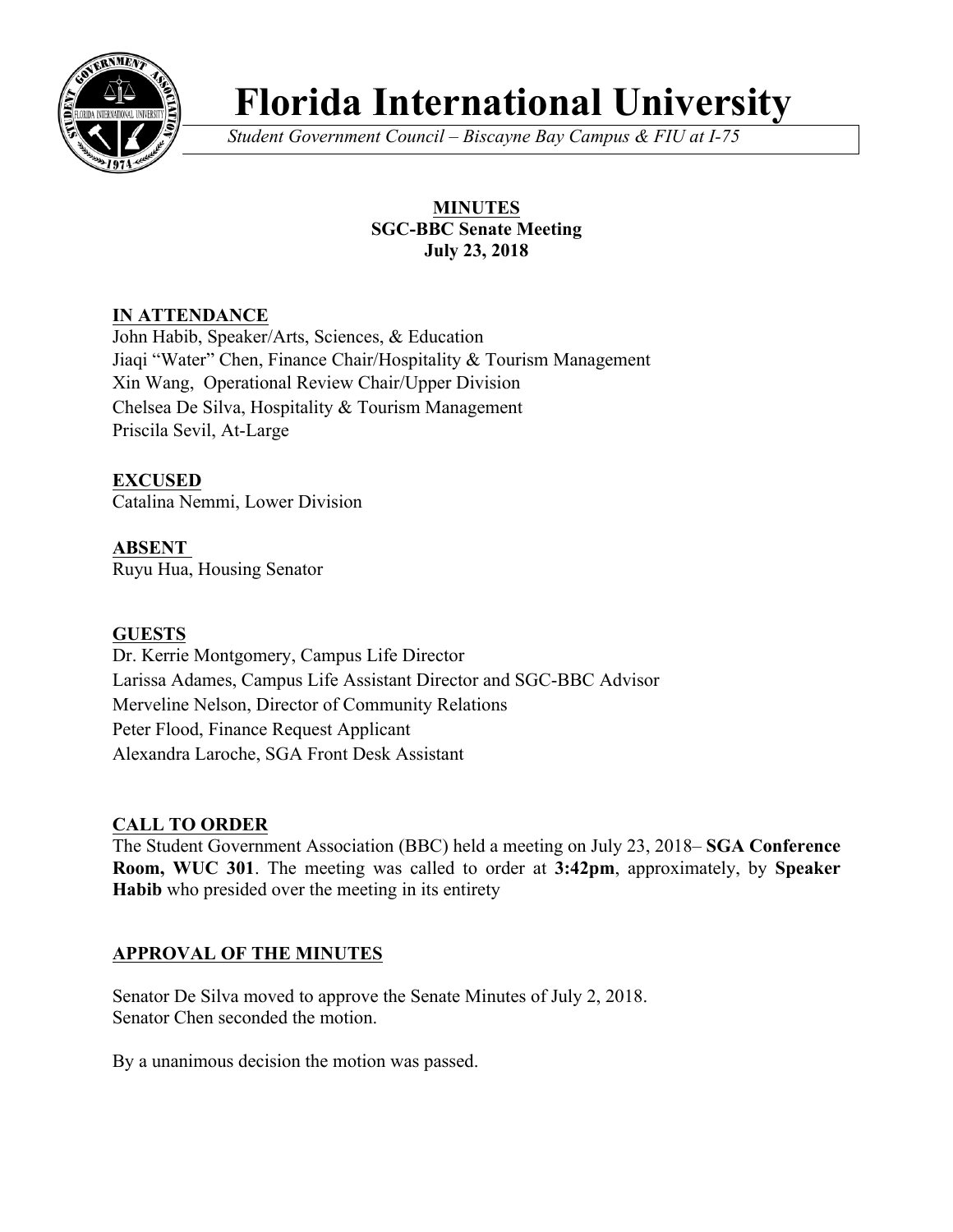

# **Florida International University**

*Student Government Council – Biscayne Bay Campus & FIU at I-75*

## **MINUTES SGC-BBC Senate Meeting July 23, 2018**

## **IN ATTENDANCE**

John Habib, Speaker/Arts, Sciences, & Education Jiaqi "Water" Chen, Finance Chair/Hospitality & Tourism Management Xin Wang, Operational Review Chair/Upper Division Chelsea De Silva, Hospitality & Tourism Management Priscila Sevil, At-Large

## **EXCUSED**

Catalina Nemmi, Lower Division

#### **ABSENT**  Ruyu Hua, Housing Senator

## **GUESTS**

Dr. Kerrie Montgomery, Campus Life Director Larissa Adames, Campus Life Assistant Director and SGC-BBC Advisor Merveline Nelson, Director of Community Relations Peter Flood, Finance Request Applicant Alexandra Laroche, SGA Front Desk Assistant

## **CALL TO ORDER**

The Student Government Association (BBC) held a meeting on July 23, 2018– **SGA Conference Room, WUC 301**. The meeting was called to order at **3:42pm**, approximately, by **Speaker Habib** who presided over the meeting in its entirety

## **APPROVAL OF THE MINUTES**

Senator De Silva moved to approve the Senate Minutes of July 2, 2018. Senator Chen seconded the motion.

By a unanimous decision the motion was passed.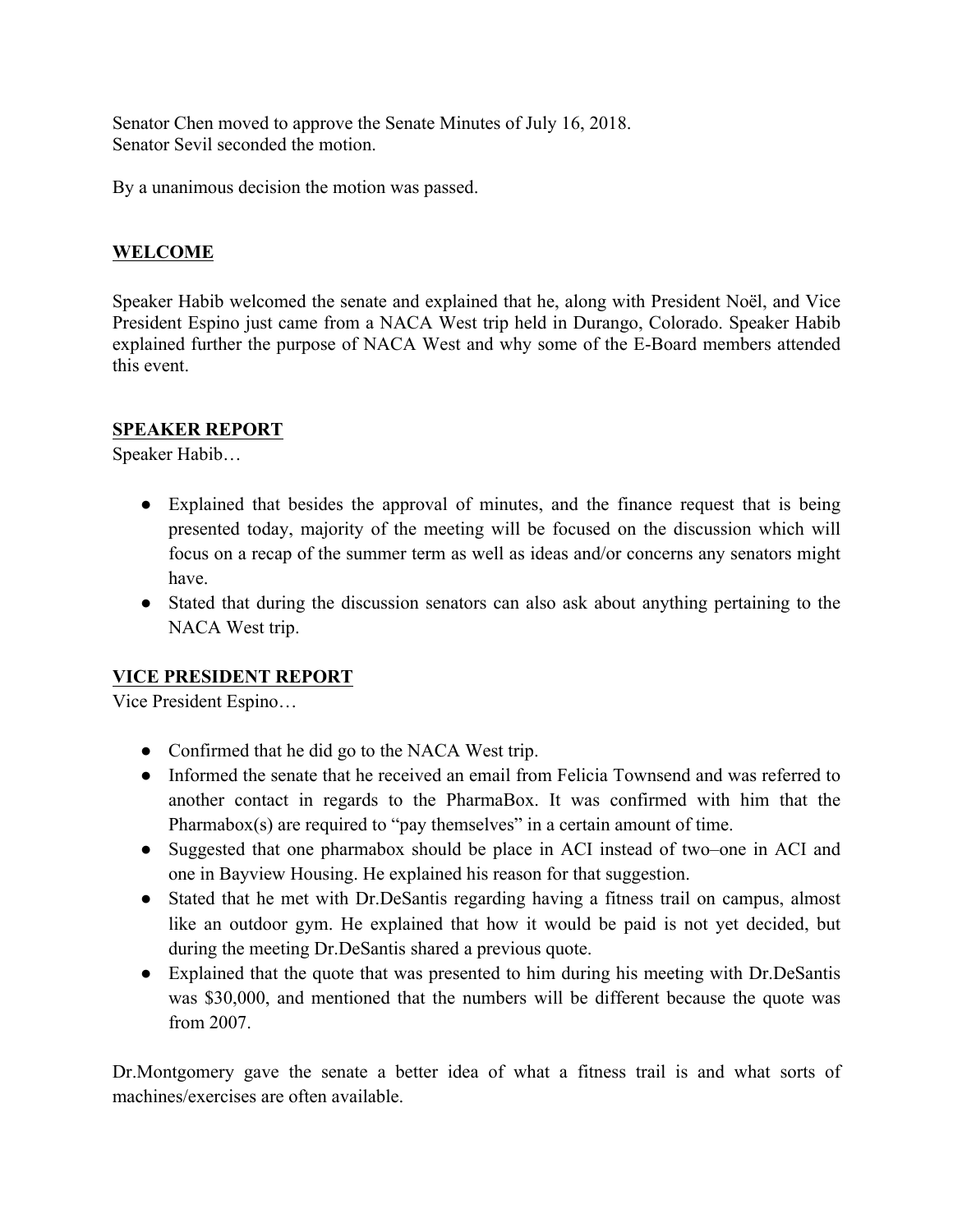Senator Chen moved to approve the Senate Minutes of July 16, 2018. Senator Sevil seconded the motion.

By a unanimous decision the motion was passed.

#### **WELCOME**

Speaker Habib welcomed the senate and explained that he, along with President Noël, and Vice President Espino just came from a NACA West trip held in Durango, Colorado. Speaker Habib explained further the purpose of NACA West and why some of the E-Board members attended this event.

#### **SPEAKER REPORT**

Speaker Habib…

- Explained that besides the approval of minutes, and the finance request that is being presented today, majority of the meeting will be focused on the discussion which will focus on a recap of the summer term as well as ideas and/or concerns any senators might have.
- Stated that during the discussion senators can also ask about anything pertaining to the NACA West trip.

## **VICE PRESIDENT REPORT**

Vice President Espino…

- Confirmed that he did go to the NACA West trip.
- Informed the senate that he received an email from Felicia Townsend and was referred to another contact in regards to the PharmaBox. It was confirmed with him that the Pharmabox(s) are required to "pay themselves" in a certain amount of time.
- Suggested that one pharmabox should be place in ACI instead of two–one in ACI and one in Bayview Housing. He explained his reason for that suggestion.
- Stated that he met with Dr.DeSantis regarding having a fitness trail on campus, almost like an outdoor gym. He explained that how it would be paid is not yet decided, but during the meeting Dr.DeSantis shared a previous quote.
- Explained that the quote that was presented to him during his meeting with Dr.DeSantis was \$30,000, and mentioned that the numbers will be different because the quote was from 2007.

Dr.Montgomery gave the senate a better idea of what a fitness trail is and what sorts of machines/exercises are often available.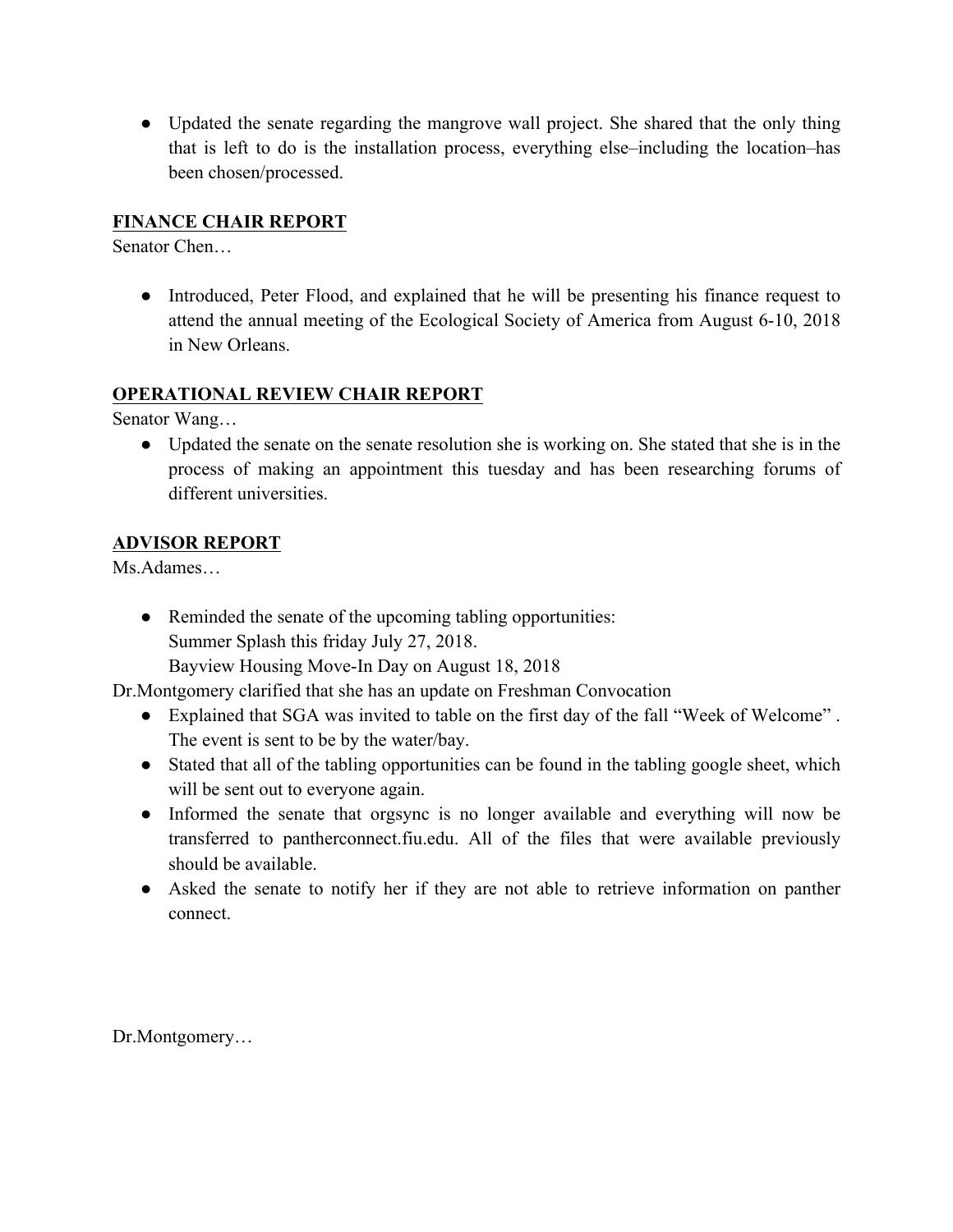• Updated the senate regarding the mangrove wall project. She shared that the only thing that is left to do is the installation process, everything else–including the location–has been chosen/processed.

## **FINANCE CHAIR REPORT**

Senator Chen…

● Introduced, Peter Flood, and explained that he will be presenting his finance request to attend the annual meeting of the Ecological Society of America from August 6-10, 2018 in New Orleans.

## **OPERATIONAL REVIEW CHAIR REPORT**

Senator Wang…

• Updated the senate on the senate resolution she is working on. She stated that she is in the process of making an appointment this tuesday and has been researching forums of different universities.

## **ADVISOR REPORT**

Ms.Adames…

• Reminded the senate of the upcoming tabling opportunities: Summer Splash this friday July 27, 2018.

Bayview Housing Move-In Day on August 18, 2018

Dr.Montgomery clarified that she has an update on Freshman Convocation

- Explained that SGA was invited to table on the first day of the fall "Week of Welcome". The event is sent to be by the water/bay.
- Stated that all of the tabling opportunities can be found in the tabling google sheet, which will be sent out to everyone again.
- Informed the senate that orgsync is no longer available and everything will now be transferred to pantherconnect.fiu.edu. All of the files that were available previously should be available.
- Asked the senate to notify her if they are not able to retrieve information on panther connect.

Dr.Montgomery…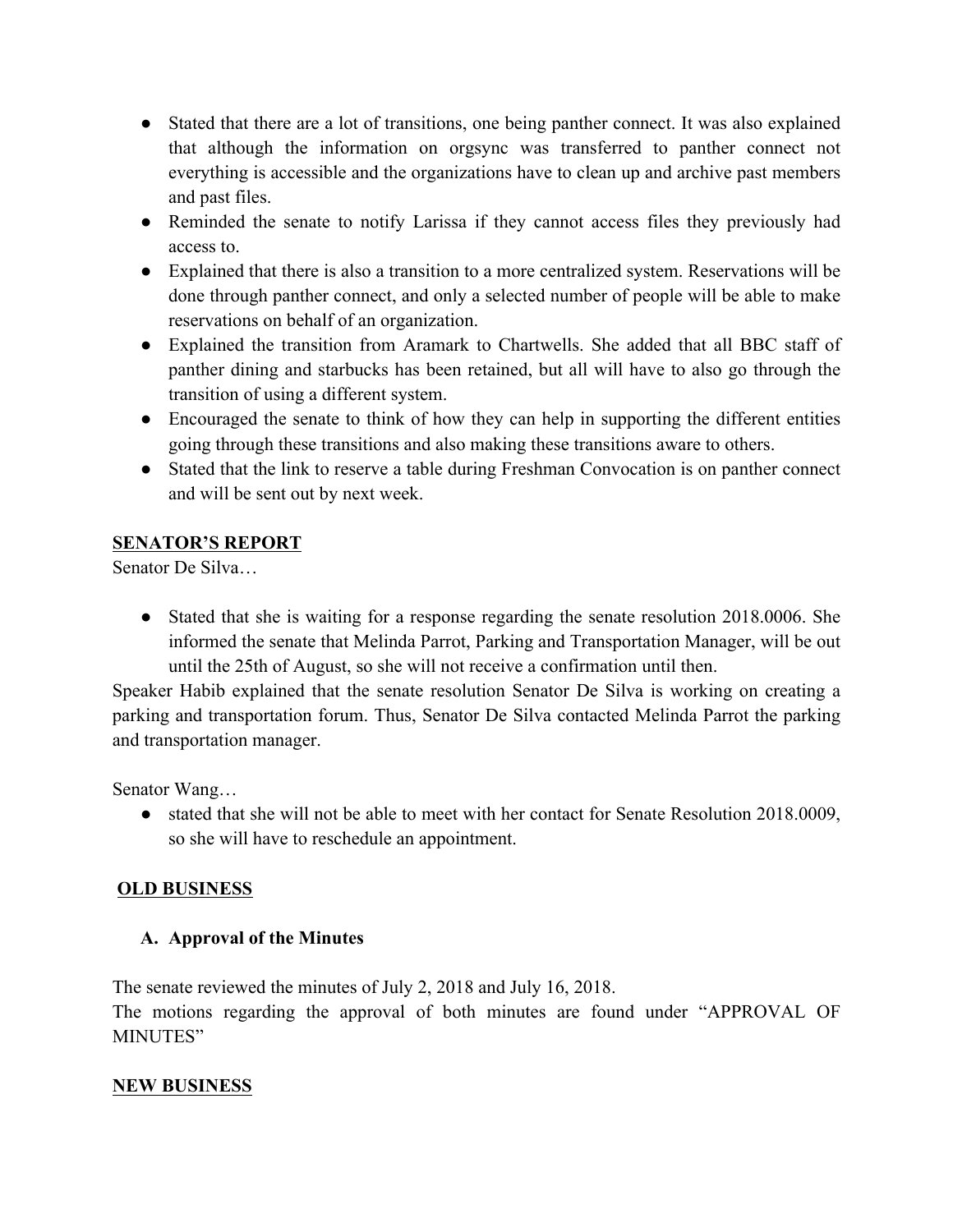- Stated that there are a lot of transitions, one being panther connect. It was also explained that although the information on orgsync was transferred to panther connect not everything is accessible and the organizations have to clean up and archive past members and past files.
- Reminded the senate to notify Larissa if they cannot access files they previously had access to.
- Explained that there is also a transition to a more centralized system. Reservations will be done through panther connect, and only a selected number of people will be able to make reservations on behalf of an organization.
- Explained the transition from Aramark to Chartwells. She added that all BBC staff of panther dining and starbucks has been retained, but all will have to also go through the transition of using a different system.
- Encouraged the senate to think of how they can help in supporting the different entities going through these transitions and also making these transitions aware to others.
- Stated that the link to reserve a table during Freshman Convocation is on panther connect and will be sent out by next week.

## **SENATOR'S REPORT**

Senator De Silva…

• Stated that she is waiting for a response regarding the senate resolution 2018.0006. She informed the senate that Melinda Parrot, Parking and Transportation Manager, will be out until the 25th of August, so she will not receive a confirmation until then.

Speaker Habib explained that the senate resolution Senator De Silva is working on creating a parking and transportation forum. Thus, Senator De Silva contacted Melinda Parrot the parking and transportation manager.

Senator Wang…

• stated that she will not be able to meet with her contact for Senate Resolution 2018.0009, so she will have to reschedule an appointment.

## **OLD BUSINESS**

## **A. Approval of the Minutes**

The senate reviewed the minutes of July 2, 2018 and July 16, 2018.

The motions regarding the approval of both minutes are found under "APPROVAL OF MINUTES"

## **NEW BUSINESS**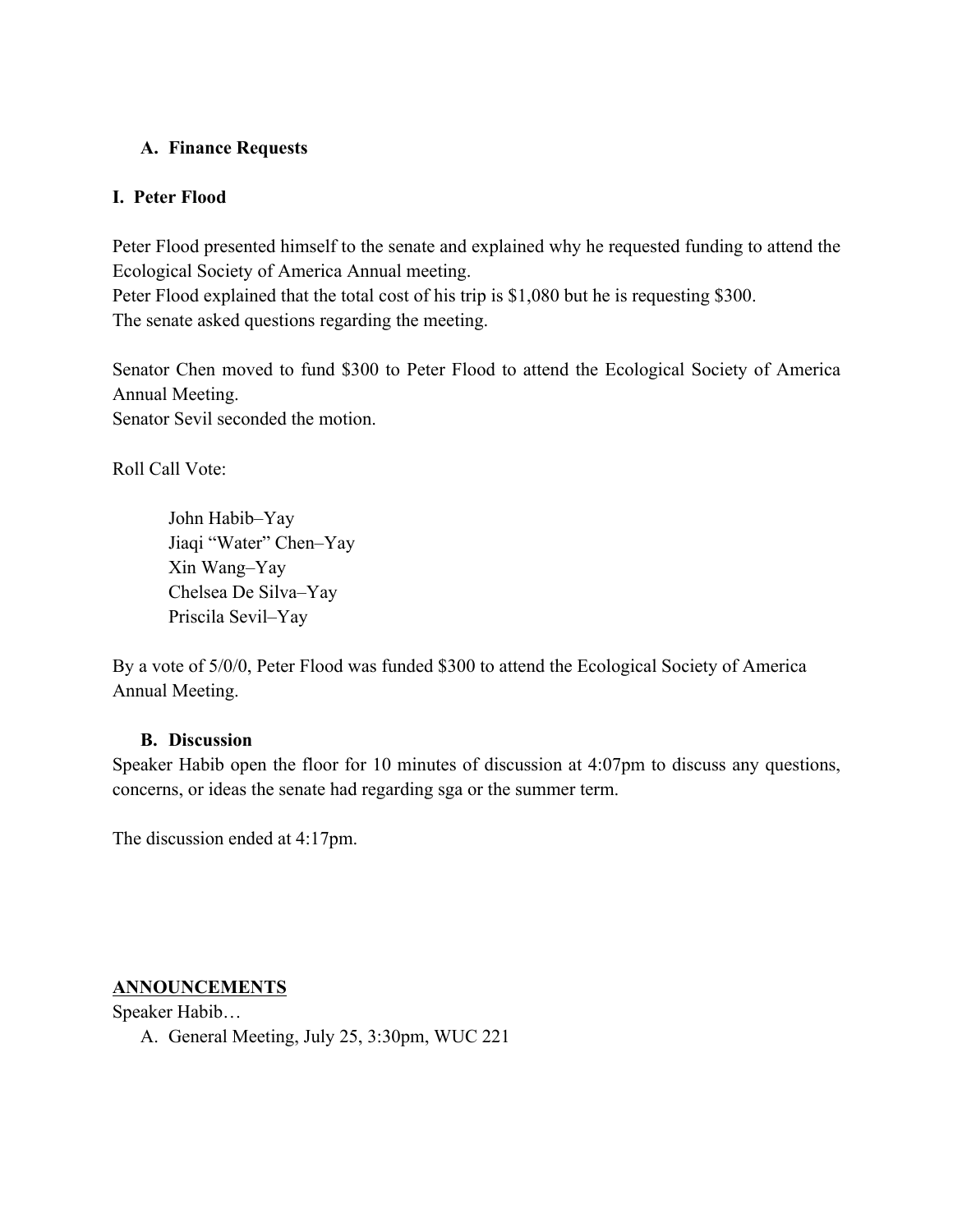#### **A. Finance Requests**

#### **I. Peter Flood**

Peter Flood presented himself to the senate and explained why he requested funding to attend the Ecological Society of America Annual meeting.

Peter Flood explained that the total cost of his trip is \$1,080 but he is requesting \$300. The senate asked questions regarding the meeting.

Senator Chen moved to fund \$300 to Peter Flood to attend the Ecological Society of America Annual Meeting.

Senator Sevil seconded the motion.

Roll Call Vote:

John Habib–Yay Jiaqi "Water" Chen–Yay Xin Wang–Yay Chelsea De Silva–Yay Priscila Sevil–Yay

By a vote of 5/0/0, Peter Flood was funded \$300 to attend the Ecological Society of America Annual Meeting.

#### **B. Discussion**

Speaker Habib open the floor for 10 minutes of discussion at 4:07pm to discuss any questions, concerns, or ideas the senate had regarding sga or the summer term.

The discussion ended at 4:17pm.

## **ANNOUNCEMENTS**

Speaker Habib…

A. General Meeting, July 25, 3:30pm, WUC 221